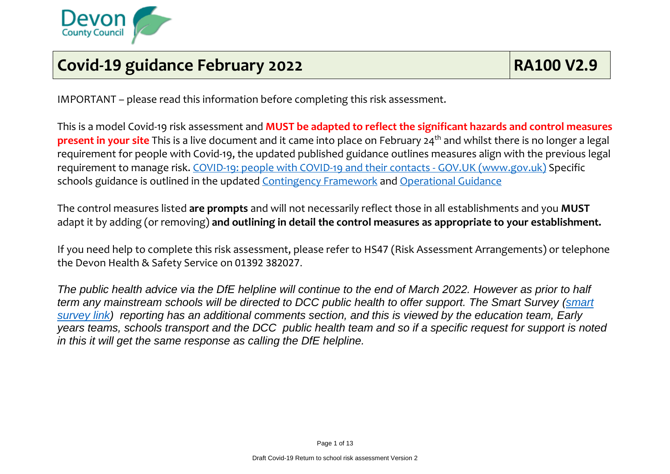

## **Covid-19 guidance February 2022 RA100 V2.9**

IMPORTANT – please read this information before completing this risk assessment.

This is a model Covid-19 risk assessment and **MUST be adapted to reflect the significant hazards and control measures present in your site** This is a live document and it came into place on February 24<sup>th</sup> and whilst there is no longer a legal requirement for people with Covid-19, the updated published guidance outlines measures align with the previous legal requirement to manage risk. [COVID-19: people with COVID-19 and their contacts -](https://www.gov.uk/government/publications/covid-19-people-with-covid-19-and-their-contacts/covid-19-people-with-covid-19-and-their-contacts) GOV.UK (www.gov.uk) Specific schools guidance is outlined in the updated [Contingency Framework](https://assets.publishing.service.gov.uk/government/uploads/system/uploads/attachment_data/file/1057141/Contingency_framework_education_and_childcare_settings_February_2022.pdf) and [Operational Guidance](https://www.gov.uk/government/publications/actions-for-schools-during-the-coronavirus-outbreak)

The control measures listed **are prompts** and will not necessarily reflect those in all establishments and you **MUST** adapt it by adding (or removing) **and outlining in detail the control measures as appropriate to your establishment.**

If you need help to complete this risk assessment, please refer to HS47 (Risk Assessment Arrangements) or telephone the Devon Health & Safety Service on 01392 382027.

*The public health advice via the DfE helpline will continue to the end of March 2022. However as prior to half term any mainstream schools will be directed to DCC public health to offer support. The Smart Survey [\(smart](https://www.smartsurvey.co.uk/s/Covid19NotificationTestResults/)  [survey link\)](https://www.smartsurvey.co.uk/s/Covid19NotificationTestResults/) reporting has an additional comments section, and this is viewed by the education team, Early years teams, schools transport and the DCC public health team and so if a specific request for support is noted in this it will get the same response as calling the DfE helpline.*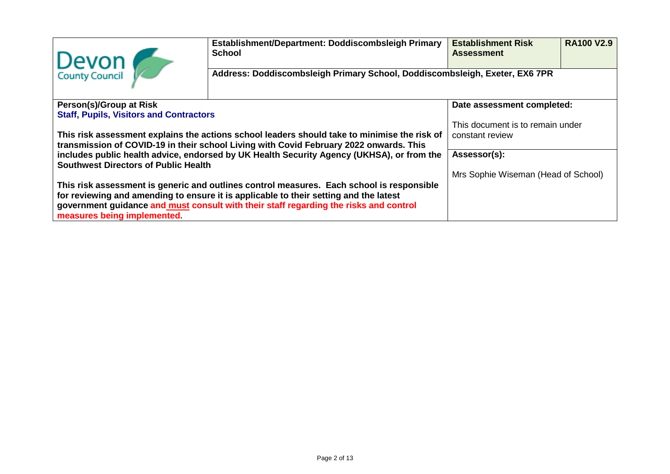| Devon<br>County Council                                                                                                                                                                                       | Establishment/Department: Doddiscombsleigh Primary<br><b>School</b>         | <b>Establishment Risk</b><br><b>Assessment</b> | <b>RA100 V2.9</b> |  |  |  |
|---------------------------------------------------------------------------------------------------------------------------------------------------------------------------------------------------------------|-----------------------------------------------------------------------------|------------------------------------------------|-------------------|--|--|--|
|                                                                                                                                                                                                               | Address: Doddiscombsleigh Primary School, Doddiscombsleigh, Exeter, EX6 7PR |                                                |                   |  |  |  |
| Person(s)/Group at Risk                                                                                                                                                                                       |                                                                             | Date assessment completed:                     |                   |  |  |  |
| <b>Staff, Pupils, Visitors and Contractors</b>                                                                                                                                                                |                                                                             |                                                |                   |  |  |  |
|                                                                                                                                                                                                               |                                                                             | This document is to remain under               |                   |  |  |  |
| This risk assessment explains the actions school leaders should take to minimise the risk of<br>transmission of COVID-19 in their school Living with Covid February 2022 onwards. This                        | constant review                                                             |                                                |                   |  |  |  |
| includes public health advice, endorsed by UK Health Security Agency (UKHSA), or from the<br><b>Southwest Directors of Public Health</b>                                                                      | Assessor(s):                                                                |                                                |                   |  |  |  |
|                                                                                                                                                                                                               | Mrs Sophie Wiseman (Head of School)                                         |                                                |                   |  |  |  |
| This risk assessment is generic and outlines control measures. Each school is responsible                                                                                                                     |                                                                             |                                                |                   |  |  |  |
| for reviewing and amending to ensure it is applicable to their setting and the latest<br>government guidance and must consult with their staff regarding the risks and control<br>measures being implemented. |                                                                             |                                                |                   |  |  |  |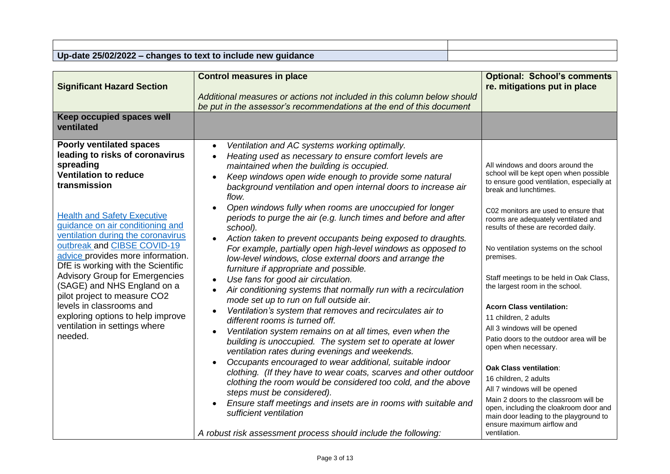## **Up-date 25/02/2022 – changes to text to include new guidance**

| <b>Significant Hazard Section</b>                                                                                                                                                                                                                               | <b>Control measures in place</b>                                                                                                                                                                                                                                                                                                                                                                                                                                                                                                                                                                                                                                                                                                                                                                   | <b>Optional: School's comments</b><br>re. mitigations put in place                                                                                                                                                                                                                                                                                                                                                                                                  |
|-----------------------------------------------------------------------------------------------------------------------------------------------------------------------------------------------------------------------------------------------------------------|----------------------------------------------------------------------------------------------------------------------------------------------------------------------------------------------------------------------------------------------------------------------------------------------------------------------------------------------------------------------------------------------------------------------------------------------------------------------------------------------------------------------------------------------------------------------------------------------------------------------------------------------------------------------------------------------------------------------------------------------------------------------------------------------------|---------------------------------------------------------------------------------------------------------------------------------------------------------------------------------------------------------------------------------------------------------------------------------------------------------------------------------------------------------------------------------------------------------------------------------------------------------------------|
|                                                                                                                                                                                                                                                                 | Additional measures or actions not included in this column below should                                                                                                                                                                                                                                                                                                                                                                                                                                                                                                                                                                                                                                                                                                                            |                                                                                                                                                                                                                                                                                                                                                                                                                                                                     |
|                                                                                                                                                                                                                                                                 | be put in the assessor's recommendations at the end of this document                                                                                                                                                                                                                                                                                                                                                                                                                                                                                                                                                                                                                                                                                                                               |                                                                                                                                                                                                                                                                                                                                                                                                                                                                     |
| <b>Keep occupied spaces well</b><br>ventilated                                                                                                                                                                                                                  |                                                                                                                                                                                                                                                                                                                                                                                                                                                                                                                                                                                                                                                                                                                                                                                                    |                                                                                                                                                                                                                                                                                                                                                                                                                                                                     |
| <b>Poorly ventilated spaces</b><br>leading to risks of coronavirus<br>spreading<br><b>Ventilation to reduce</b><br>transmission                                                                                                                                 | Ventilation and AC systems working optimally.<br>$\bullet$<br>Heating used as necessary to ensure comfort levels are<br>$\bullet$<br>maintained when the building is occupied.<br>Keep windows open wide enough to provide some natural<br>background ventilation and open internal doors to increase air<br>flow.<br>Open windows fully when rooms are unoccupied for longer                                                                                                                                                                                                                                                                                                                                                                                                                      | All windows and doors around the<br>school will be kept open when possible<br>to ensure good ventilation, especially at<br>break and lunchtimes.<br>C02 monitors are used to ensure that                                                                                                                                                                                                                                                                            |
| <b>Health and Safety Executive</b><br>guidance on air conditioning and<br>ventilation during the coronavirus<br>outbreak and CIBSE COVID-19<br>advice provides more information.<br>DfE is working with the Scientific<br><b>Advisory Group for Emergencies</b> | periods to purge the air (e.g. lunch times and before and after<br>school).<br>Action taken to prevent occupants being exposed to draughts.<br>For example, partially open high-level windows as opposed to<br>low-level windows, close external doors and arrange the<br>furniture if appropriate and possible.<br>Use fans for good air circulation.                                                                                                                                                                                                                                                                                                                                                                                                                                             | rooms are adequately ventilated and<br>results of these are recorded daily.<br>No ventilation systems on the school<br>premises.<br>Staff meetings to be held in Oak Class,                                                                                                                                                                                                                                                                                         |
| (SAGE) and NHS England on a<br>pilot project to measure CO2<br>levels in classrooms and<br>exploring options to help improve<br>ventilation in settings where<br>needed.                                                                                        | Air conditioning systems that normally run with a recirculation<br>mode set up to run on full outside air.<br>Ventilation's system that removes and recirculates air to<br>different rooms is turned off.<br>Ventilation system remains on at all times, even when the<br>building is unoccupied. The system set to operate at lower<br>ventilation rates during evenings and weekends.<br>Occupants encouraged to wear additional, suitable indoor<br>$\bullet$<br>clothing. (If they have to wear coats, scarves and other outdoor<br>clothing the room would be considered too cold, and the above<br>steps must be considered).<br>Ensure staff meetings and insets are in rooms with suitable and<br>sufficient ventilation<br>A robust risk assessment process should include the following: | the largest room in the school.<br><b>Acorn Class ventilation:</b><br>11 children, 2 adults<br>All 3 windows will be opened<br>Patio doors to the outdoor area will be<br>open when necessary.<br><b>Oak Class ventilation:</b><br>16 children, 2 adults<br>All 7 windows will be opened<br>Main 2 doors to the classroom will be<br>open, including the cloakroom door and<br>main door leading to the playground to<br>ensure maximum airflow and<br>ventilation. |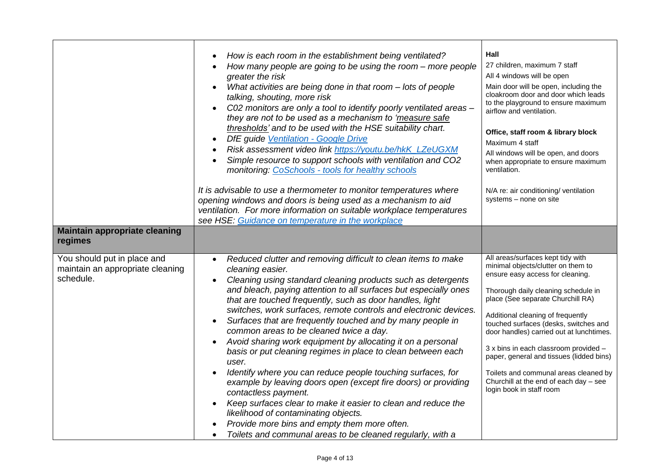| <b>Maintain appropriate cleaning</b>                                                    | How is each room in the establishment being ventilated?<br>How many people are going to be using the room - more people<br>greater the risk<br>What activities are being done in that room - lots of people<br>talking, shouting, more risk<br>C02 monitors are only a tool to identify poorly ventilated areas -<br>$\bullet$<br>they are not to be used as a mechanism to 'measure safe<br>thresholds' and to be used with the HSE suitability chart.<br>DfE guide Ventilation - Google Drive<br>$\bullet$<br>Risk assessment video link https://youtu.be/hkK_LZeUGXM<br>$\bullet$<br>Simple resource to support schools with ventilation and CO2<br>$\bullet$<br>monitoring: CoSchools - tools for healthy schools<br>It is advisable to use a thermometer to monitor temperatures where<br>opening windows and doors is being used as a mechanism to aid<br>ventilation. For more information on suitable workplace temperatures<br>see HSE: Guidance on temperature in the workplace | Hall<br>27 children, maximum 7 staff<br>All 4 windows will be open<br>Main door will be open, including the<br>cloakroom door and door which leads<br>to the playground to ensure maximum<br>airflow and ventilation.<br>Office, staff room & library block<br>Maximum 4 staff<br>All windows will be open, and doors<br>when appropriate to ensure maximum<br>ventilation.<br>N/A re: air conditioning/ ventilation<br>systems - none on site |
|-----------------------------------------------------------------------------------------|-------------------------------------------------------------------------------------------------------------------------------------------------------------------------------------------------------------------------------------------------------------------------------------------------------------------------------------------------------------------------------------------------------------------------------------------------------------------------------------------------------------------------------------------------------------------------------------------------------------------------------------------------------------------------------------------------------------------------------------------------------------------------------------------------------------------------------------------------------------------------------------------------------------------------------------------------------------------------------------------|------------------------------------------------------------------------------------------------------------------------------------------------------------------------------------------------------------------------------------------------------------------------------------------------------------------------------------------------------------------------------------------------------------------------------------------------|
| regimes<br>You should put in place and<br>maintain an appropriate cleaning<br>schedule. | Reduced clutter and removing difficult to clean items to make<br>$\bullet$<br>cleaning easier.<br>Cleaning using standard cleaning products such as detergents<br>and bleach, paying attention to all surfaces but especially ones<br>that are touched frequently, such as door handles, light<br>switches, work surfaces, remote controls and electronic devices.<br>Surfaces that are frequently touched and by many people in<br>$\bullet$<br>common areas to be cleaned twice a day.<br>Avoid sharing work equipment by allocating it on a personal<br>$\bullet$                                                                                                                                                                                                                                                                                                                                                                                                                      | All areas/surfaces kept tidy with<br>minimal objects/clutter on them to<br>ensure easy access for cleaning.<br>Thorough daily cleaning schedule in<br>place (See separate Churchill RA)<br>Additional cleaning of frequently<br>touched surfaces (desks, switches and<br>door handles) carried out at lunchtimes.                                                                                                                              |
|                                                                                         | basis or put cleaning regimes in place to clean between each<br>user.<br>Identify where you can reduce people touching surfaces, for<br>$\bullet$<br>example by leaving doors open (except fire doors) or providing<br>contactless payment.<br>Keep surfaces clear to make it easier to clean and reduce the<br>$\bullet$<br>likelihood of contaminating objects.<br>Provide more bins and empty them more often.<br>Toilets and communal areas to be cleaned regularly, with a                                                                                                                                                                                                                                                                                                                                                                                                                                                                                                           | 3 x bins in each classroom provided -<br>paper, general and tissues (lidded bins)<br>Toilets and communal areas cleaned by<br>Churchill at the end of each day - see<br>login book in staff room                                                                                                                                                                                                                                               |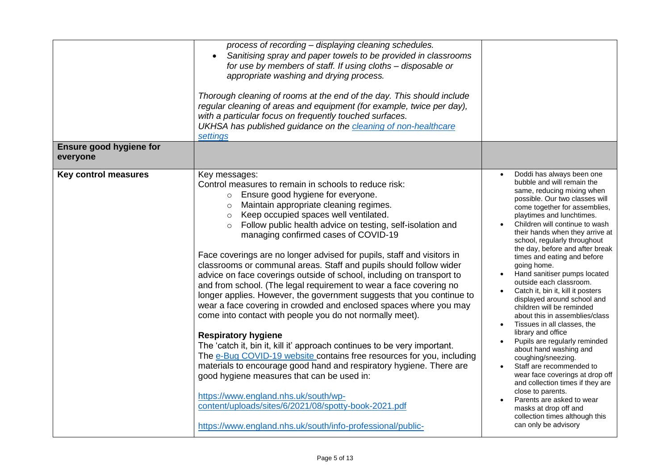| Ensure good hygiene for<br>everyone | process of recording - displaying cleaning schedules.<br>Sanitising spray and paper towels to be provided in classrooms<br>$\bullet$<br>for use by members of staff. If using cloths - disposable or<br>appropriate washing and drying process.<br>Thorough cleaning of rooms at the end of the day. This should include<br>regular cleaning of areas and equipment (for example, twice per day),<br>with a particular focus on frequently touched surfaces.<br>UKHSA has published guidance on the cleaning of non-healthcare<br>settings                                                                                                                                                                                                                                                                                                                                                                                                                                                                                                                                                                                                                                                                                                                                                                  |                                                                                                                                                                                                                                                                                                                                                                                                                                                                                                                                                                                                                                                                                                                                                                                                                                                                                                                                                         |
|-------------------------------------|-------------------------------------------------------------------------------------------------------------------------------------------------------------------------------------------------------------------------------------------------------------------------------------------------------------------------------------------------------------------------------------------------------------------------------------------------------------------------------------------------------------------------------------------------------------------------------------------------------------------------------------------------------------------------------------------------------------------------------------------------------------------------------------------------------------------------------------------------------------------------------------------------------------------------------------------------------------------------------------------------------------------------------------------------------------------------------------------------------------------------------------------------------------------------------------------------------------------------------------------------------------------------------------------------------------|---------------------------------------------------------------------------------------------------------------------------------------------------------------------------------------------------------------------------------------------------------------------------------------------------------------------------------------------------------------------------------------------------------------------------------------------------------------------------------------------------------------------------------------------------------------------------------------------------------------------------------------------------------------------------------------------------------------------------------------------------------------------------------------------------------------------------------------------------------------------------------------------------------------------------------------------------------|
| <b>Key control measures</b>         | Key messages:<br>Control measures to remain in schools to reduce risk:<br>o Ensure good hygiene for everyone.<br>Maintain appropriate cleaning regimes.<br>$\circ$<br>Keep occupied spaces well ventilated.<br>$\circ$<br>Follow public health advice on testing, self-isolation and<br>managing confirmed cases of COVID-19<br>Face coverings are no longer advised for pupils, staff and visitors in<br>classrooms or communal areas. Staff and pupils should follow wider<br>advice on face coverings outside of school, including on transport to<br>and from school. (The legal requirement to wear a face covering no<br>longer applies. However, the government suggests that you continue to<br>wear a face covering in crowded and enclosed spaces where you may<br>come into contact with people you do not normally meet).<br><b>Respiratory hygiene</b><br>The 'catch it, bin it, kill it' approach continues to be very important.<br>The e-Bug COVID-19 website contains free resources for you, including<br>materials to encourage good hand and respiratory hygiene. There are<br>good hygiene measures that can be used in:<br>https://www.england.nhs.uk/south/wp-<br>content/uploads/sites/6/2021/08/spotty-book-2021.pdf<br>https://www.england.nhs.uk/south/info-professional/public- | Doddi has always been one<br>bubble and will remain the<br>same, reducing mixing when<br>possible. Our two classes will<br>come together for assemblies,<br>playtimes and lunchtimes.<br>Children will continue to wash<br>their hands when they arrive at<br>school, regularly throughout<br>the day, before and after break<br>times and eating and before<br>going home.<br>Hand sanitiser pumps located<br>outside each classroom.<br>Catch it, bin it, kill it posters<br>displayed around school and<br>children will be reminded<br>about this in assemblies/class<br>Tissues in all classes, the<br>library and office<br>Pupils are regularly reminded<br>about hand washing and<br>coughing/sneezing.<br>Staff are recommended to<br>wear face coverings at drop off<br>and collection times if they are<br>close to parents.<br>Parents are asked to wear<br>masks at drop off and<br>collection times although this<br>can only be advisory |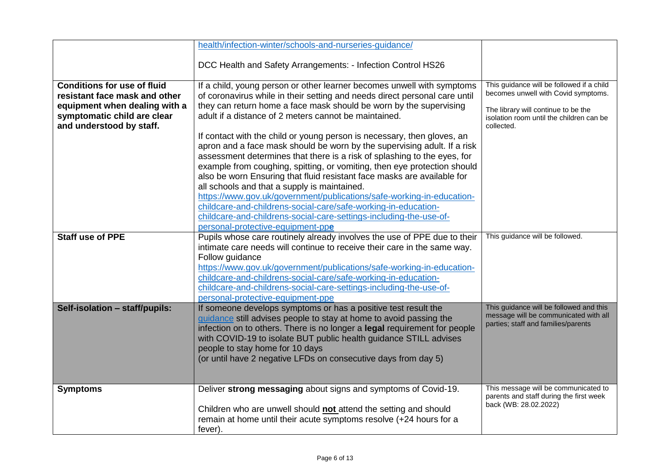|                                                                     | health/infection-winter/schools-and-nurseries-guidance/                                                                                              |                                                                                  |
|---------------------------------------------------------------------|------------------------------------------------------------------------------------------------------------------------------------------------------|----------------------------------------------------------------------------------|
|                                                                     | DCC Health and Safety Arrangements: - Infection Control HS26                                                                                         |                                                                                  |
|                                                                     |                                                                                                                                                      |                                                                                  |
| <b>Conditions for use of fluid</b><br>resistant face mask and other | If a child, young person or other learner becomes unwell with symptoms<br>of coronavirus while in their setting and needs direct personal care until | This guidance will be followed if a child<br>becomes unwell with Covid symptoms. |
| equipment when dealing with a<br>symptomatic child are clear        | they can return home a face mask should be worn by the supervising<br>adult if a distance of 2 meters cannot be maintained.                          | The library will continue to be the                                              |
| and understood by staff.                                            |                                                                                                                                                      | isolation room until the children can be<br>collected.                           |
|                                                                     | If contact with the child or young person is necessary, then gloves, an<br>apron and a face mask should be worn by the supervising adult. If a risk  |                                                                                  |
|                                                                     | assessment determines that there is a risk of splashing to the eyes, for                                                                             |                                                                                  |
|                                                                     | example from coughing, spitting, or vomiting, then eye protection should                                                                             |                                                                                  |
|                                                                     | also be worn Ensuring that fluid resistant face masks are available for<br>all schools and that a supply is maintained.                              |                                                                                  |
|                                                                     | https://www.gov.uk/government/publications/safe-working-in-education-                                                                                |                                                                                  |
|                                                                     | childcare-and-childrens-social-care/safe-working-in-education-                                                                                       |                                                                                  |
|                                                                     | childcare-and-childrens-social-care-settings-including-the-use-of-                                                                                   |                                                                                  |
|                                                                     | personal-protective-equipment-ppe                                                                                                                    |                                                                                  |
| Staff use of PPE                                                    | Pupils whose care routinely already involves the use of PPE due to their<br>intimate care needs will continue to receive their care in the same way. | This guidance will be followed.                                                  |
|                                                                     | Follow guidance                                                                                                                                      |                                                                                  |
|                                                                     | https://www.gov.uk/government/publications/safe-working-in-education-                                                                                |                                                                                  |
|                                                                     | childcare-and-childrens-social-care/safe-working-in-education-                                                                                       |                                                                                  |
|                                                                     | childcare-and-childrens-social-care-settings-including-the-use-of-                                                                                   |                                                                                  |
|                                                                     | personal-protective-equipment-ppe                                                                                                                    |                                                                                  |
| Self-isolation - staff/pupils:                                      | If someone develops symptoms or has a positive test result the<br>guidance still advises people to stay at home to avoid passing the                 | This guidance will be followed and this<br>message will be communicated with all |
|                                                                     | infection on to others. There is no longer a legal requirement for people                                                                            | parties; staff and families/parents                                              |
|                                                                     | with COVID-19 to isolate BUT public health guidance STILL advises                                                                                    |                                                                                  |
|                                                                     | people to stay home for 10 days                                                                                                                      |                                                                                  |
|                                                                     | (or until have 2 negative LFDs on consecutive days from day 5)                                                                                       |                                                                                  |
|                                                                     |                                                                                                                                                      |                                                                                  |
| <b>Symptoms</b>                                                     | Deliver strong messaging about signs and symptoms of Covid-19.                                                                                       | This message will be communicated to                                             |
|                                                                     |                                                                                                                                                      | parents and staff during the first week<br>back (WB: 28.02.2022)                 |
|                                                                     | Children who are unwell should not attend the setting and should                                                                                     |                                                                                  |
|                                                                     | remain at home until their acute symptoms resolve (+24 hours for a                                                                                   |                                                                                  |
|                                                                     | fever).                                                                                                                                              |                                                                                  |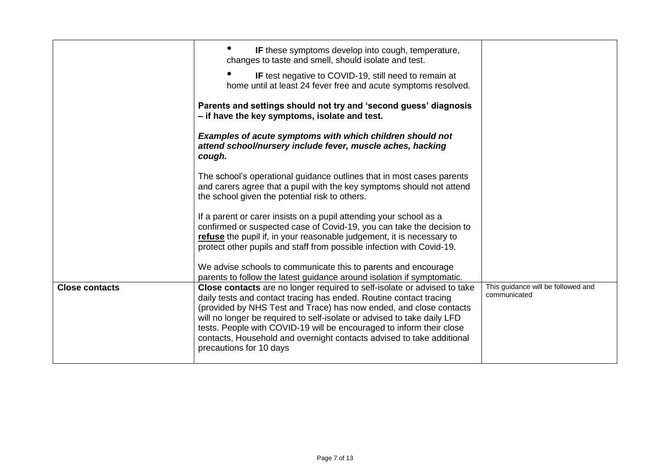|                       | IF these symptoms develop into cough, temperature,<br>changes to taste and smell, should isolate and test.                                                                                                                                                                                                                                                                                                                                                                  |                                                    |
|-----------------------|-----------------------------------------------------------------------------------------------------------------------------------------------------------------------------------------------------------------------------------------------------------------------------------------------------------------------------------------------------------------------------------------------------------------------------------------------------------------------------|----------------------------------------------------|
|                       | IF test negative to COVID-19, still need to remain at<br>home until at least 24 fever free and acute symptoms resolved.                                                                                                                                                                                                                                                                                                                                                     |                                                    |
|                       | Parents and settings should not try and 'second guess' diagnosis<br>- if have the key symptoms, isolate and test.                                                                                                                                                                                                                                                                                                                                                           |                                                    |
|                       | Examples of acute symptoms with which children should not<br>attend school/nursery include fever, muscle aches, hacking<br>cough.                                                                                                                                                                                                                                                                                                                                           |                                                    |
|                       | The school's operational guidance outlines that in most cases parents<br>and carers agree that a pupil with the key symptoms should not attend<br>the school given the potential risk to others.                                                                                                                                                                                                                                                                            |                                                    |
|                       | If a parent or carer insists on a pupil attending your school as a<br>confirmed or suspected case of Covid-19, you can take the decision to<br>refuse the pupil if, in your reasonable judgement, it is necessary to<br>protect other pupils and staff from possible infection with Covid-19.                                                                                                                                                                               |                                                    |
|                       | We advise schools to communicate this to parents and encourage<br>parents to follow the latest guidance around isolation if symptomatic.                                                                                                                                                                                                                                                                                                                                    |                                                    |
| <b>Close contacts</b> | Close contacts are no longer required to self-isolate or advised to take<br>daily tests and contact tracing has ended. Routine contact tracing<br>(provided by NHS Test and Trace) has now ended, and close contacts<br>will no longer be required to self-isolate or advised to take daily LFD<br>tests. People with COVID-19 will be encouraged to inform their close<br>contacts, Household and overnight contacts advised to take additional<br>precautions for 10 days | This guidance will be followed and<br>communicated |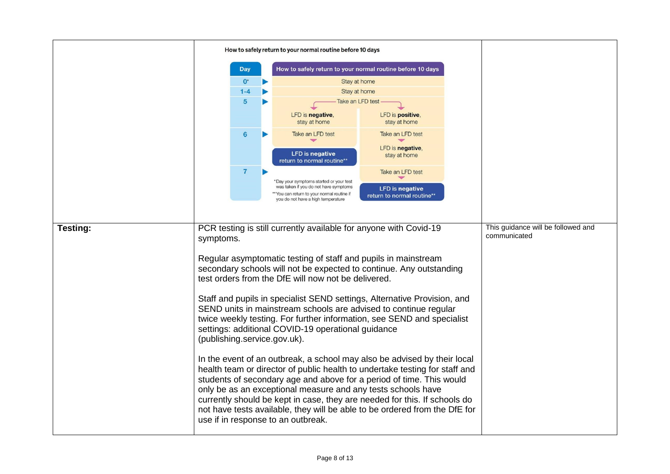|          | How to safely return to your normal routine before 10 days                                                                                   |                                                                |  |                                                                                  |                                                      |  |                                    |
|----------|----------------------------------------------------------------------------------------------------------------------------------------------|----------------------------------------------------------------|--|----------------------------------------------------------------------------------|------------------------------------------------------|--|------------------------------------|
|          |                                                                                                                                              | <b>Day</b>                                                     |  | How to safely return to your normal routine before 10 days                       |                                                      |  |                                    |
|          |                                                                                                                                              | $0^{\circ}$                                                    |  | Stay at home                                                                     |                                                      |  |                                    |
|          |                                                                                                                                              | $1 - 4$                                                        |  | Stay at home                                                                     |                                                      |  |                                    |
|          |                                                                                                                                              | 5                                                              |  | Take an LFD test                                                                 |                                                      |  |                                    |
|          |                                                                                                                                              |                                                                |  | LFD is negative.                                                                 | LFD is positive.                                     |  |                                    |
|          |                                                                                                                                              |                                                                |  | stay at home                                                                     | stay at home                                         |  |                                    |
|          |                                                                                                                                              | $6\phantom{1}$                                                 |  | Take an LFD test                                                                 | Take an LFD test                                     |  |                                    |
|          |                                                                                                                                              |                                                                |  |                                                                                  |                                                      |  |                                    |
|          |                                                                                                                                              |                                                                |  | <b>LFD</b> is negative                                                           | LFD is negative,<br>stay at home                     |  |                                    |
|          |                                                                                                                                              |                                                                |  | return to normal routine**                                                       |                                                      |  |                                    |
|          |                                                                                                                                              | $\overline{7}$                                                 |  |                                                                                  | Take an LFD test                                     |  |                                    |
|          |                                                                                                                                              |                                                                |  | 'Day your symptoms started or your test<br>was taken if you do not have symptoms |                                                      |  |                                    |
|          |                                                                                                                                              |                                                                |  | ** You can return to your normal routine if                                      | <b>LFD</b> is negative<br>return to normal routine** |  |                                    |
|          |                                                                                                                                              |                                                                |  | you do not have a high temperature                                               |                                                      |  |                                    |
|          |                                                                                                                                              |                                                                |  |                                                                                  |                                                      |  |                                    |
|          |                                                                                                                                              |                                                                |  |                                                                                  |                                                      |  | This guidance will be followed and |
| Testing: | PCR testing is still currently available for anyone with Covid-19<br>communicated                                                            |                                                                |  |                                                                                  |                                                      |  |                                    |
|          | symptoms.                                                                                                                                    |                                                                |  |                                                                                  |                                                      |  |                                    |
|          |                                                                                                                                              | Regular asymptomatic testing of staff and pupils in mainstream |  |                                                                                  |                                                      |  |                                    |
|          |                                                                                                                                              |                                                                |  | secondary schools will not be expected to continue. Any outstanding              |                                                      |  |                                    |
|          |                                                                                                                                              |                                                                |  | test orders from the DfE will now not be delivered.                              |                                                      |  |                                    |
|          |                                                                                                                                              |                                                                |  |                                                                                  |                                                      |  |                                    |
|          |                                                                                                                                              |                                                                |  |                                                                                  |                                                      |  |                                    |
|          | Staff and pupils in specialist SEND settings, Alternative Provision, and<br>SEND units in mainstream schools are advised to continue regular |                                                                |  |                                                                                  |                                                      |  |                                    |
|          |                                                                                                                                              |                                                                |  | twice weekly testing. For further information, see SEND and specialist           |                                                      |  |                                    |
|          |                                                                                                                                              |                                                                |  | settings: additional COVID-19 operational guidance                               |                                                      |  |                                    |
|          |                                                                                                                                              |                                                                |  |                                                                                  |                                                      |  |                                    |
|          | (publishing.service.gov.uk).                                                                                                                 |                                                                |  |                                                                                  |                                                      |  |                                    |
|          | In the event of an outbreak, a school may also be advised by their local                                                                     |                                                                |  |                                                                                  |                                                      |  |                                    |
|          | health team or director of public health to undertake testing for staff and                                                                  |                                                                |  |                                                                                  |                                                      |  |                                    |
|          |                                                                                                                                              |                                                                |  | students of secondary age and above for a period of time. This would             |                                                      |  |                                    |
|          |                                                                                                                                              |                                                                |  | only be as an exceptional measure and any tests schools have                     |                                                      |  |                                    |
|          |                                                                                                                                              |                                                                |  | currently should be kept in case, they are needed for this. If schools do        |                                                      |  |                                    |
|          |                                                                                                                                              |                                                                |  | not have tests available, they will be able to be ordered from the DfE for       |                                                      |  |                                    |
|          |                                                                                                                                              |                                                                |  |                                                                                  |                                                      |  |                                    |
|          | use if in response to an outbreak.                                                                                                           |                                                                |  |                                                                                  |                                                      |  |                                    |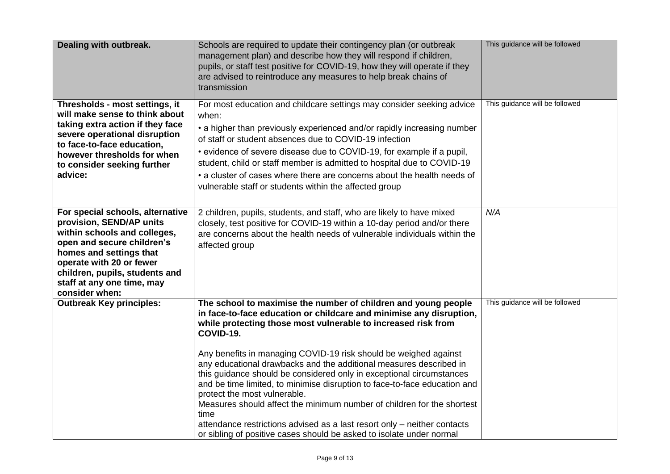| Dealing with outbreak.                                                                                                                                                                                                                                              | Schools are required to update their contingency plan (or outbreak<br>management plan) and describe how they will respond if children,<br>pupils, or staff test positive for COVID-19, how they will operate if they<br>are advised to reintroduce any measures to help break chains of<br>transmission                                                                                                                                                                                                                                                                                                                                                                                                                                                                                  | This guidance will be followed |
|---------------------------------------------------------------------------------------------------------------------------------------------------------------------------------------------------------------------------------------------------------------------|------------------------------------------------------------------------------------------------------------------------------------------------------------------------------------------------------------------------------------------------------------------------------------------------------------------------------------------------------------------------------------------------------------------------------------------------------------------------------------------------------------------------------------------------------------------------------------------------------------------------------------------------------------------------------------------------------------------------------------------------------------------------------------------|--------------------------------|
| Thresholds - most settings, it<br>will make sense to think about<br>taking extra action if they face<br>severe operational disruption<br>to face-to-face education,<br>however thresholds for when<br>to consider seeking further<br>advice:                        | For most education and childcare settings may consider seeking advice<br>when:<br>• a higher than previously experienced and/or rapidly increasing number<br>of staff or student absences due to COVID-19 infection<br>• evidence of severe disease due to COVID-19, for example if a pupil,<br>student, child or staff member is admitted to hospital due to COVID-19<br>• a cluster of cases where there are concerns about the health needs of<br>vulnerable staff or students within the affected group                                                                                                                                                                                                                                                                              | This guidance will be followed |
| For special schools, alternative<br>provision, SEND/AP units<br>within schools and colleges,<br>open and secure children's<br>homes and settings that<br>operate with 20 or fewer<br>children, pupils, students and<br>staff at any one time, may<br>consider when: | 2 children, pupils, students, and staff, who are likely to have mixed<br>closely, test positive for COVID-19 within a 10-day period and/or there<br>are concerns about the health needs of vulnerable individuals within the<br>affected group                                                                                                                                                                                                                                                                                                                                                                                                                                                                                                                                           | N/A                            |
| <b>Outbreak Key principles:</b>                                                                                                                                                                                                                                     | The school to maximise the number of children and young people<br>in face-to-face education or childcare and minimise any disruption,<br>while protecting those most vulnerable to increased risk from<br>COVID-19.<br>Any benefits in managing COVID-19 risk should be weighed against<br>any educational drawbacks and the additional measures described in<br>this guidance should be considered only in exceptional circumstances<br>and be time limited, to minimise disruption to face-to-face education and<br>protect the most vulnerable.<br>Measures should affect the minimum number of children for the shortest<br>time<br>attendance restrictions advised as a last resort only - neither contacts<br>or sibling of positive cases should be asked to isolate under normal | This guidance will be followed |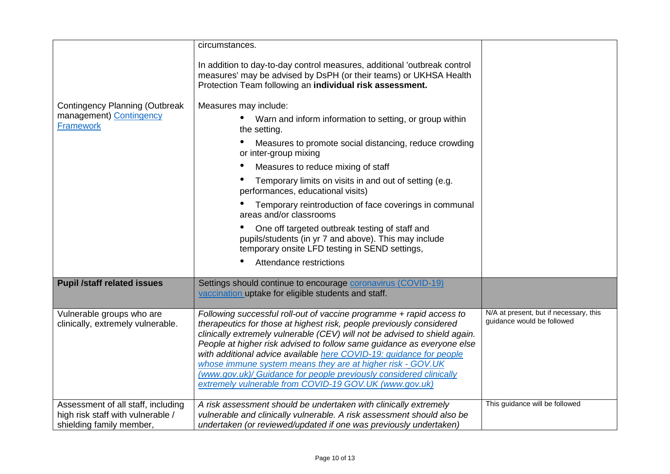|                                                                                                     | circumstances.                                                                                                                                                                                                                                                                                                                                                                                                                                                                                                                                                            |                                                                      |
|-----------------------------------------------------------------------------------------------------|---------------------------------------------------------------------------------------------------------------------------------------------------------------------------------------------------------------------------------------------------------------------------------------------------------------------------------------------------------------------------------------------------------------------------------------------------------------------------------------------------------------------------------------------------------------------------|----------------------------------------------------------------------|
|                                                                                                     | In addition to day-to-day control measures, additional 'outbreak control<br>measures' may be advised by DsPH (or their teams) or UKHSA Health<br>Protection Team following an individual risk assessment.                                                                                                                                                                                                                                                                                                                                                                 |                                                                      |
| <b>Contingency Planning (Outbreak</b>                                                               | Measures may include:                                                                                                                                                                                                                                                                                                                                                                                                                                                                                                                                                     |                                                                      |
| management) Contingency<br><b>Framework</b>                                                         | Warn and inform information to setting, or group within<br>the setting.                                                                                                                                                                                                                                                                                                                                                                                                                                                                                                   |                                                                      |
|                                                                                                     | Measures to promote social distancing, reduce crowding<br>or inter-group mixing                                                                                                                                                                                                                                                                                                                                                                                                                                                                                           |                                                                      |
|                                                                                                     | Measures to reduce mixing of staff                                                                                                                                                                                                                                                                                                                                                                                                                                                                                                                                        |                                                                      |
|                                                                                                     | Temporary limits on visits in and out of setting (e.g.<br>performances, educational visits)                                                                                                                                                                                                                                                                                                                                                                                                                                                                               |                                                                      |
|                                                                                                     | Temporary reintroduction of face coverings in communal<br>areas and/or classrooms                                                                                                                                                                                                                                                                                                                                                                                                                                                                                         |                                                                      |
|                                                                                                     | One off targeted outbreak testing of staff and<br>pupils/students (in yr 7 and above). This may include<br>temporary onsite LFD testing in SEND settings,                                                                                                                                                                                                                                                                                                                                                                                                                 |                                                                      |
|                                                                                                     | Attendance restrictions<br>$\bullet$                                                                                                                                                                                                                                                                                                                                                                                                                                                                                                                                      |                                                                      |
| <b>Pupil /staff related issues</b>                                                                  | Settings should continue to encourage coronavirus (COVID-19)<br>vaccination uptake for eligible students and staff.                                                                                                                                                                                                                                                                                                                                                                                                                                                       |                                                                      |
| Vulnerable groups who are<br>clinically, extremely vulnerable.                                      | Following successful roll-out of vaccine programme + rapid access to<br>therapeutics for those at highest risk, people previously considered<br>clinically extremely vulnerable (CEV) will not be advised to shield again.<br>People at higher risk advised to follow same guidance as everyone else<br>with additional advice available here COVID-19: guidance for people<br>whose immune system means they are at higher risk - GOV.UK<br>(www.gov.uk)/ Guidance for people previously considered clinically<br>extremely vulnerable from COVID-19 GOV.UK (www.gov.uk) | N/A at present, but if necessary, this<br>guidance would be followed |
| Assessment of all staff, including<br>high risk staff with vulnerable /<br>shielding family member, | A risk assessment should be undertaken with clinically extremely<br>vulnerable and clinically vulnerable. A risk assessment should also be<br>undertaken (or reviewed/updated if one was previously undertaken)                                                                                                                                                                                                                                                                                                                                                           | This guidance will be followed                                       |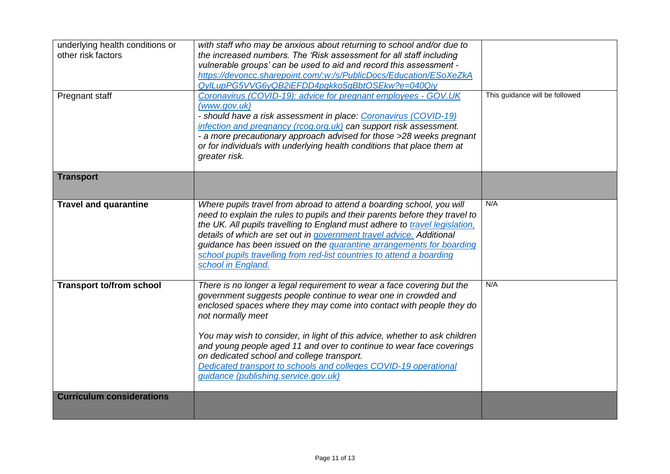| underlying health conditions or<br>other risk factors | with staff who may be anxious about returning to school and/or due to<br>the increased numbers. The 'Risk assessment for all staff including<br>vulnerable groups' can be used to aid and record this assessment -<br>https://devoncc.sharepoint.com/:w:/s/PublicDocs/Education/ESoXeZkA<br>QylLupPG5VVG6yQB2iEFDD4pgkko5qBbtOSEkw?e=040Qiy                                                                                                                                                                                                           |                                |
|-------------------------------------------------------|-------------------------------------------------------------------------------------------------------------------------------------------------------------------------------------------------------------------------------------------------------------------------------------------------------------------------------------------------------------------------------------------------------------------------------------------------------------------------------------------------------------------------------------------------------|--------------------------------|
| Pregnant staff                                        | Coronavirus (COVID-19): advice for pregnant employees - GOV.UK<br>(www.gov.uk)<br>- should have a risk assessment in place: Coronavirus (COVID-19)<br>infection and pregnancy (rcog.org.uk) can support risk assessment.<br>- a more precautionary approach advised for those >28 weeks pregnant<br>or for individuals with underlying health conditions that place them at<br>greater risk.                                                                                                                                                          | This guidance will be followed |
| <b>Transport</b>                                      |                                                                                                                                                                                                                                                                                                                                                                                                                                                                                                                                                       |                                |
| <b>Travel and quarantine</b>                          | Where pupils travel from abroad to attend a boarding school, you will<br>need to explain the rules to pupils and their parents before they travel to<br>the UK. All pupils travelling to England must adhere to travel legislation,<br>details of which are set out in government travel advice. Additional<br>guidance has been issued on the quarantine arrangements for boarding<br>school pupils travelling from red-list countries to attend a boarding<br>school in England.                                                                    | N/A                            |
| <b>Transport to/from school</b>                       | There is no longer a legal requirement to wear a face covering but the<br>government suggests people continue to wear one in crowded and<br>enclosed spaces where they may come into contact with people they do<br>not normally meet<br>You may wish to consider, in light of this advice, whether to ask children<br>and young people aged 11 and over to continue to wear face coverings<br>on dedicated school and college transport.<br>Dedicated transport to schools and colleges COVID-19 operational<br>guidance (publishing.service.gov.uk) | N/A                            |
| <b>Curriculum considerations</b>                      |                                                                                                                                                                                                                                                                                                                                                                                                                                                                                                                                                       |                                |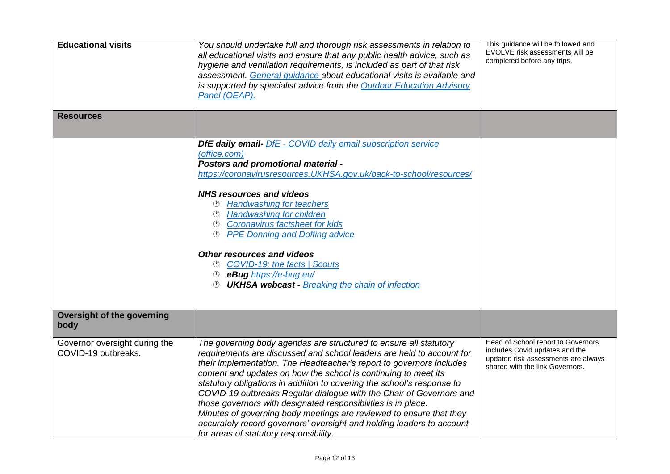| <b>Educational visits</b>                            | You should undertake full and thorough risk assessments in relation to<br>all educational visits and ensure that any public health advice, such as<br>hygiene and ventilation requirements, is included as part of that risk<br>assessment. General guidance about educational visits is available and<br>is supported by specialist advice from the Outdoor Education Advisory<br>Panel (OEAP).                                                                                                                                                                                                                                                                                                  | This guidance will be followed and<br>EVOLVE risk assessments will be<br>completed before any trips.                                           |
|------------------------------------------------------|---------------------------------------------------------------------------------------------------------------------------------------------------------------------------------------------------------------------------------------------------------------------------------------------------------------------------------------------------------------------------------------------------------------------------------------------------------------------------------------------------------------------------------------------------------------------------------------------------------------------------------------------------------------------------------------------------|------------------------------------------------------------------------------------------------------------------------------------------------|
| <b>Resources</b>                                     |                                                                                                                                                                                                                                                                                                                                                                                                                                                                                                                                                                                                                                                                                                   |                                                                                                                                                |
|                                                      | <b>DfE daily email-</b> DfE - COVID daily email subscription service<br>(office.com)<br><b>Posters and promotional material -</b><br>https://coronavirusresources.UKHSA.gov.uk/back-to-school/resources/                                                                                                                                                                                                                                                                                                                                                                                                                                                                                          |                                                                                                                                                |
|                                                      | <b>NHS resources and videos</b><br><b>Handwashing for teachers</b><br><sup>①</sup> Handwashing for children<br><sup>①</sup> Coronavirus factsheet for kids<br><b>PPE Donning and Doffing advice</b>                                                                                                                                                                                                                                                                                                                                                                                                                                                                                               |                                                                                                                                                |
|                                                      | <b>Other resources and videos</b><br>© COVID-19: the facts   Scouts<br><sup>1</sup> eBug https://e-bug.eu/<br><b><i><sup>①</sup> UKHSA webcast - Breaking the chain of infection</i></b>                                                                                                                                                                                                                                                                                                                                                                                                                                                                                                          |                                                                                                                                                |
| <b>Oversight of the governing</b><br>body            |                                                                                                                                                                                                                                                                                                                                                                                                                                                                                                                                                                                                                                                                                                   |                                                                                                                                                |
| Governor oversight during the<br>COVID-19 outbreaks. | The governing body agendas are structured to ensure all statutory<br>requirements are discussed and school leaders are held to account for<br>their implementation. The Headteacher's report to governors includes<br>content and updates on how the school is continuing to meet its<br>statutory obligations in addition to covering the school's response to<br>COVID-19 outbreaks Regular dialogue with the Chair of Governors and<br>those governors with designated responsibilities is in place.<br>Minutes of governing body meetings are reviewed to ensure that they<br>accurately record governors' oversight and holding leaders to account<br>for areas of statutory responsibility. | Head of School report to Governors<br>includes Covid updates and the<br>updated risk assessments are always<br>shared with the link Governors. |